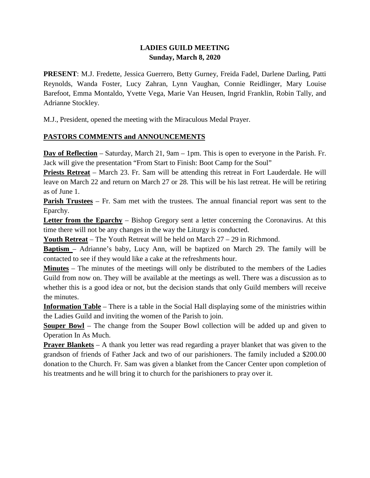## **LADIES GUILD MEETING Sunday, March 8, 2020**

**PRESENT**: M.J. Fredette, Jessica Guerrero, Betty Gurney, Freida Fadel, Darlene Darling, Patti Reynolds, Wanda Foster, Lucy Zahran, Lynn Vaughan, Connie Reidlinger, Mary Louise Barefoot, Emma Montaldo, Yvette Vega, Marie Van Heusen, Ingrid Franklin, Robin Tally, and Adrianne Stockley.

M.J., President, opened the meeting with the Miraculous Medal Prayer.

# **PASTORS COMMENTS and ANNOUNCEMENTS**

**Day of Reflection** – Saturday, March 21, 9am – 1pm. This is open to everyone in the Parish. Fr. Jack will give the presentation "From Start to Finish: Boot Camp for the Soul"

**Priests Retreat** – March 23. Fr. Sam will be attending this retreat in Fort Lauderdale. He will leave on March 22 and return on March 27 or 28. This will be his last retreat. He will be retiring as of June 1.

**Parish Trustees** – Fr. Sam met with the trustees. The annual financial report was sent to the Eparchy.

**Letter from the Eparchy** – Bishop Gregory sent a letter concerning the Coronavirus. At this time there will not be any changes in the way the Liturgy is conducted.

**Youth Retreat** – The Youth Retreat will be held on March 27 – 29 in Richmond.

**Baptism** – Adrianne's baby, Lucy Ann, will be baptized on March 29. The family will be contacted to see if they would like a cake at the refreshments hour.

**Minutes** – The minutes of the meetings will only be distributed to the members of the Ladies Guild from now on. They will be available at the meetings as well. There was a discussion as to whether this is a good idea or not, but the decision stands that only Guild members will receive the minutes.

**Information Table** – There is a table in the Social Hall displaying some of the ministries within the Ladies Guild and inviting the women of the Parish to join.

**Souper Bowl** – The change from the Souper Bowl collection will be added up and given to Operation In As Much.

**Prayer Blankets** – A thank you letter was read regarding a prayer blanket that was given to the grandson of friends of Father Jack and two of our parishioners. The family included a \$200.00 donation to the Church. Fr. Sam was given a blanket from the Cancer Center upon completion of his treatments and he will bring it to church for the parishioners to pray over it.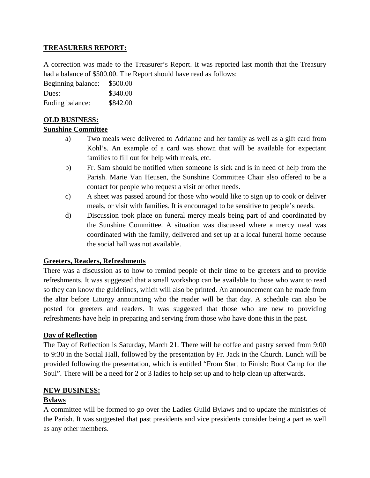## **TREASURERS REPORT:**

A correction was made to the Treasurer's Report. It was reported last month that the Treasury had a balance of \$500.00. The Report should have read as follows:

Beginning balance: \$500.00 Dues: \$340.00 Ending balance: \$842.00

## **OLD BUSINESS:**

#### **Sunshine Committee**

- a) Two meals were delivered to Adrianne and her family as well as a gift card from Kohl's. An example of a card was shown that will be available for expectant families to fill out for help with meals, etc.
- b) Fr. Sam should be notified when someone is sick and is in need of help from the Parish. Marie Van Heusen, the Sunshine Committee Chair also offered to be a contact for people who request a visit or other needs.
- c) A sheet was passed around for those who would like to sign up to cook or deliver meals, or visit with families. It is encouraged to be sensitive to people's needs.
- d) Discussion took place on funeral mercy meals being part of and coordinated by the Sunshine Committee. A situation was discussed where a mercy meal was coordinated with the family, delivered and set up at a local funeral home because the social hall was not available.

#### **Greeters, Readers, Refreshments**

There was a discussion as to how to remind people of their time to be greeters and to provide refreshments. It was suggested that a small workshop can be available to those who want to read so they can know the guidelines, which will also be printed. An announcement can be made from the altar before Liturgy announcing who the reader will be that day. A schedule can also be posted for greeters and readers. It was suggested that those who are new to providing refreshments have help in preparing and serving from those who have done this in the past.

#### **Day of Reflection**

The Day of Reflection is Saturday, March 21. There will be coffee and pastry served from 9:00 to 9:30 in the Social Hall, followed by the presentation by Fr. Jack in the Church. Lunch will be provided following the presentation, which is entitled "From Start to Finish: Boot Camp for the Soul". There will be a need for 2 or 3 ladies to help set up and to help clean up afterwards.

#### **NEW BUSINESS:**

#### **Bylaws**

A committee will be formed to go over the Ladies Guild Bylaws and to update the ministries of the Parish. It was suggested that past presidents and vice presidents consider being a part as well as any other members.